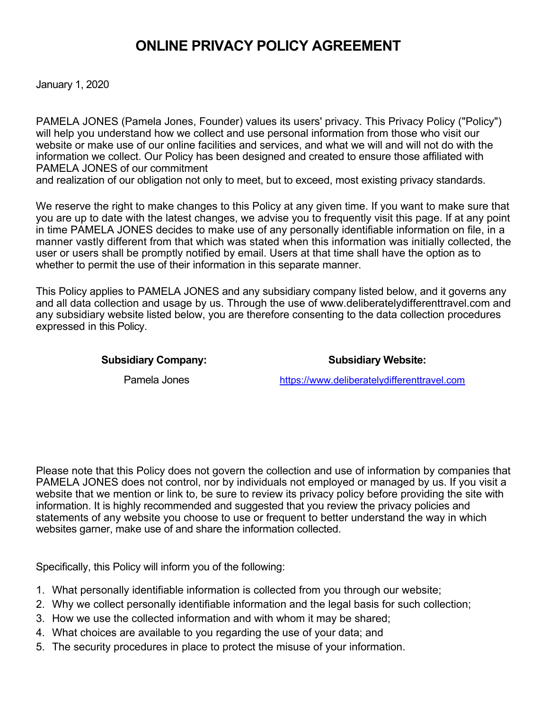# **ONLINE PRIVACY POLICY AGREEMENT**

January 1, 2020

PAMELA JONES (Pamela Jones, Founder) values its users' privacy. This Privacy Policy ("Policy") will help you understand how we collect and use personal information from those who visit our website or make use of our online facilities and services, and what we will and will not do with the information we collect. Our Policy has been designed and created to ensure those affiliated with PAMELA JONES of our commitment

and realization of our obligation not only to meet, but to exceed, most existing privacy standards.

We reserve the right to make changes to this Policy at any given time. If you want to make sure that you are up to date with the latest changes, we advise you to frequently visit this page. If at any point in time PAMELA JONES decides to make use of any personally identifiable information on file, in a manner vastly different from that which was stated when this information was initially collected, the user or users shall be promptly notified by email. Users at that time shall have the option as to whether to permit the use of their information in this separate manner.

This Policy applies to PAMELA JONES and any subsidiary company listed below, and it governs any and all data collection and usage by us. Through the use of www.deliberatelydifferenttravel.com and any subsidiary website listed below, you are therefore consenting to the data collection procedures expressed in this Policy.

#### Subsidiary Company: Subsidiary Website:

Pamela Jones [https://www.deliberatelydifferenttravel.com](https://www.toniringgold.biz/)

Please note that this Policy does not govern the collection and use of information by companies that PAMELA JONES does not control, nor by individuals not employed or managed by us. If you visit a website that we mention or link to, be sure to review its privacy policy before providing the site with information. It is highly recommended and suggested that you review the privacy policies and statements of any website you choose to use or frequent to better understand the way in which websites garner, make use of and share the information collected.

Specifically, this Policy will inform you of the following:

- 1. What personally identifiable information is collected from you through our website;
- 2. Why we collect personally identifiable information and the legal basis for such collection;
- 3. How we use the collected information and with whom it may be shared;
- 4. What choices are available to you regarding the use of your data; and
- 5. The security procedures in place to protect the misuse of your information.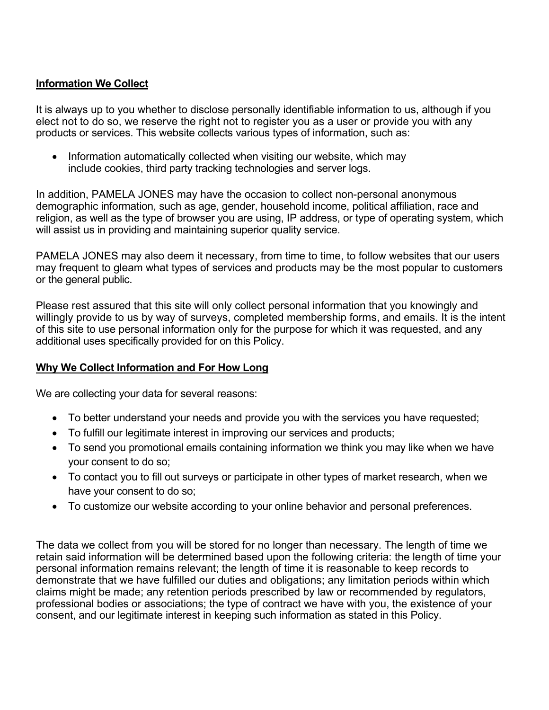#### **Information We Collect**

It is always up to you whether to disclose personally identifiable information to us, although if you elect not to do so, we reserve the right not to register you as a user or provide you with any products or services. This website collects various types of information, such as:

• Information automatically collected when visiting our website, which may include cookies, third party tracking technologies and server logs.

In addition, PAMELA JONES may have the occasion to collect non-personal anonymous demographic information, such as age, gender, household income, political affiliation, race and religion, as well as the type of browser you are using, IP address, or type of operating system, which will assist us in providing and maintaining superior quality service.

PAMELA JONES may also deem it necessary, from time to time, to follow websites that our users may frequent to gleam what types of services and products may be the most popular to customers or the general public.

Please rest assured that this site will only collect personal information that you knowingly and willingly provide to us by way of surveys, completed membership forms, and emails. It is the intent of this site to use personal information only for the purpose for which it was requested, and any additional uses specifically provided for on this Policy.

#### **Why We Collect Information and For How Long**

We are collecting your data for several reasons:

- To better understand your needs and provide you with the services you have requested;
- To fulfill our legitimate interest in improving our services and products;
- To send you promotional emails containing information we think you may like when we have your consent to do so;
- To contact you to fill out surveys or participate in other types of market research, when we have your consent to do so;
- To customize our website according to your online behavior and personal preferences.

The data we collect from you will be stored for no longer than necessary. The length of time we retain said information will be determined based upon the following criteria: the length of time your personal information remains relevant; the length of time it is reasonable to keep records to demonstrate that we have fulfilled our duties and obligations; any limitation periods within which claims might be made; any retention periods prescribed by law or recommended by regulators, professional bodies or associations; the type of contract we have with you, the existence of your consent, and our legitimate interest in keeping such information as stated in this Policy.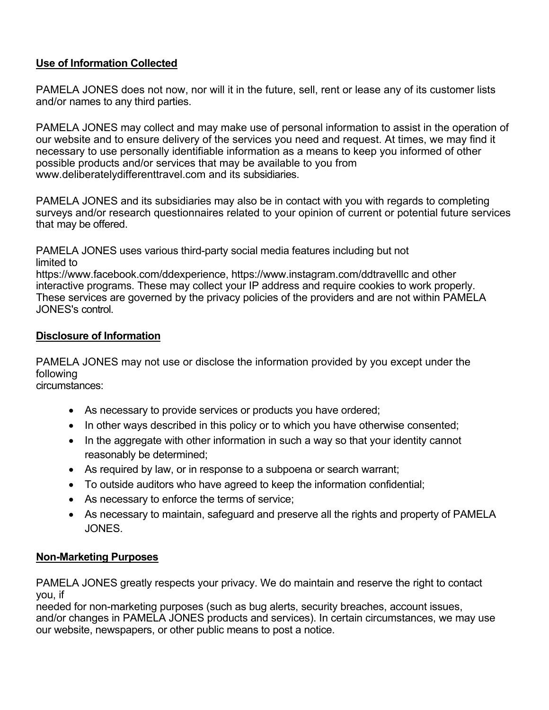## **Use of Information Collected**

PAMELA JONES does not now, nor will it in the future, sell, rent or lease any of its customer lists and/or names to any third parties.

PAMELA JONES may collect and may make use of personal information to assist in the operation of our website and to ensure delivery of the services you need and request. At times, we may find it necessary to use personally identifiable information as a means to keep you informed of other possible products and/or services that may be available to you from www.deliberatelydifferenttravel.com and its subsidiaries.

PAMELA JONES and its subsidiaries may also be in contact with you with regards to completing surveys and/or research questionnaires related to your opinion of current or potential future services that may be offered.

PAMELA JONES uses various third-party social media features including but not limited to https://www.facebook.com/ddexperience, https://www.instagram.com/ddtravelllc and other interactive programs. These may collect your IP address and require cookies to work properly. These services are governed by the privacy policies of the providers and are not within PAMELA JONES's control.

#### **Disclosure of Information**

PAMELA JONES may not use or disclose the information provided by you except under the following

circumstances:

- As necessary to provide services or products you have ordered;
- In other ways described in this policy or to which you have otherwise consented;
- In the aggregate with other information in such a way so that your identity cannot reasonably be determined;
- As required by law, or in response to a subpoena or search warrant;
- To outside auditors who have agreed to keep the information confidential;
- As necessary to enforce the terms of service;
- As necessary to maintain, safeguard and preserve all the rights and property of PAMELA JONES.

## **Non-Marketing Purposes**

PAMELA JONES greatly respects your privacy. We do maintain and reserve the right to contact you, if

needed for non-marketing purposes (such as bug alerts, security breaches, account issues, and/or changes in PAMELA JONES products and services). In certain circumstances, we may use our website, newspapers, or other public means to post a notice.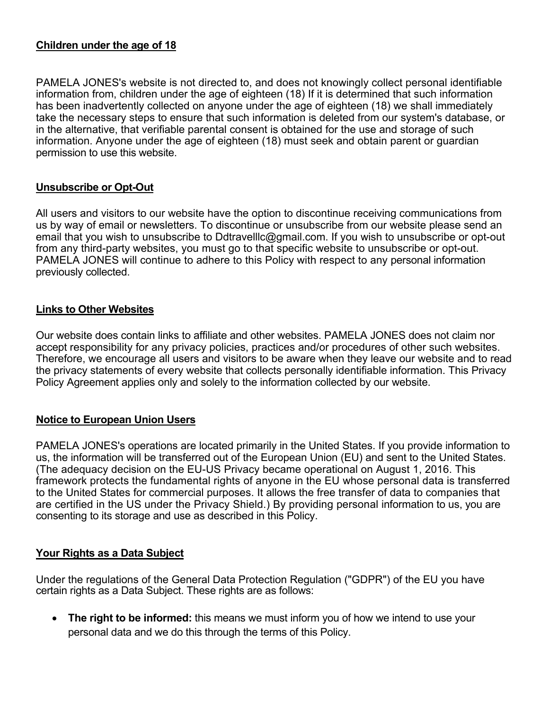#### **Children under the age of 18**

PAMELA JONES's website is not directed to, and does not knowingly collect personal identifiable information from, children under the age of eighteen (18) If it is determined that such information has been inadvertently collected on anyone under the age of eighteen (18) we shall immediately take the necessary steps to ensure that such information is deleted from our system's database, or in the alternative, that verifiable parental consent is obtained for the use and storage of such information. Anyone under the age of eighteen (18) must seek and obtain parent or guardian permission to use this website.

#### **Unsubscribe or Opt-Out**

All users and visitors to our website have the option to discontinue receiving communications from us by way of email or newsletters. To discontinue or unsubscribe from our website please send an email that you wish to unsubscribe to Ddtravelllc@gmail.com. If you wish to unsubscribe or opt-out from any third-party websites, you must go to that specific website to unsubscribe or opt-out. PAMELA JONES will continue to adhere to this Policy with respect to any personal information previously collected.

#### **Links to Other Websites**

Our website does contain links to affiliate and other websites. PAMELA JONES does not claim nor accept responsibility for any privacy policies, practices and/or procedures of other such websites. Therefore, we encourage all users and visitors to be aware when they leave our website and to read the privacy statements of every website that collects personally identifiable information. This Privacy Policy Agreement applies only and solely to the information collected by our website.

## **Notice to European Union Users**

PAMELA JONES's operations are located primarily in the United States. If you provide information to us, the information will be transferred out of the European Union (EU) and sent to the United States. (The adequacy decision on the EU-US Privacy became operational on August 1, 2016. This framework protects the fundamental rights of anyone in the EU whose personal data is transferred to the United States for commercial purposes. It allows the free transfer of data to companies that are certified in the US under the Privacy Shield.) By providing personal information to us, you are consenting to its storage and use as described in this Policy.

## **Your Rights as a Data Subject**

Under the regulations of the General Data Protection Regulation ("GDPR") of the EU you have certain rights as a Data Subject. These rights are as follows:

• **The right to be informed:** this means we must inform you of how we intend to use your personal data and we do this through the terms of this Policy.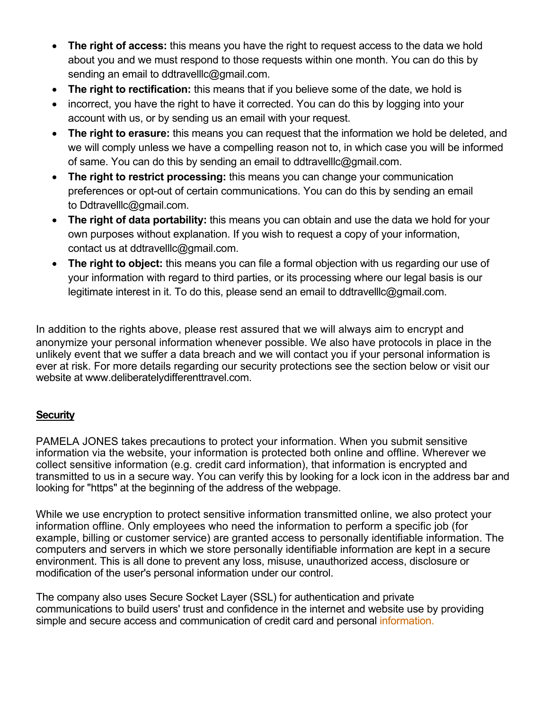- **The right of access:** this means you have the right to request access to the data we hold about you and we must respond to those requests within one month. You can do this by sending an email to ddtravelllc@gmail.com.
- **The right to rectification:** this means that if you believe some of the date, we hold is
- incorrect, you have the right to have it corrected. You can do this by logging into your account with us, or by sending us an email with your request.
- **The right to erasure:** this means you can request that the information we hold be deleted, and we will comply unless we have a compelling reason not to, in which case you will be informed of same. You can do this by sending an email to ddtravelllc@gmail.com.
- **The right to restrict processing:** this means you can change your communication preferences or opt-out of certain communications. You can do this by sending an email to Ddtravelllc@gmail.com.
- **The right of data portability:** this means you can obtain and use the data we hold for your own purposes without explanation. If you wish to request a copy of your information, contact us at ddtravelllc@gmail.com.
- **The right to object:** this means you can file a formal objection with us regarding our use of your information with regard to third parties, or its processing where our legal basis is our legitimate interest in it. To do this, please send an email to ddtravelllc@gmail.com.

In addition to the rights above, please rest assured that we will always aim to encrypt and anonymize your personal information whenever possible. We also have protocols in place in the unlikely event that we suffer a data breach and we will contact you if your personal information is ever at risk. For more details regarding our security protections see the section below or visit our website at www.deliberatelydifferenttravel.com.

## **Security**

PAMELA JONES takes precautions to protect your information. When you submit sensitive information via the website, your information is protected both online and offline. Wherever we collect sensitive information (e.g. credit card information), that information is encrypted and transmitted to us in a secure way. You can verify this by looking for a lock icon in the address bar and looking for "https" at the beginning of the address of the webpage.

While we use encryption to protect sensitive information transmitted online, we also protect your information offline. Only employees who need the information to perform a specific job (for example, billing or customer service) are granted access to personally identifiable information. The computers and servers in which we store personally identifiable information are kept in a secure environment. This is all done to prevent any loss, misuse, unauthorized access, disclosure or modification of the user's personal information under our control.

The company also uses Secure Socket Layer (SSL) for authentication and private communications to build users' trust and confidence in the internet and website use by providing simple and secure access and communication of credit card and personal information.